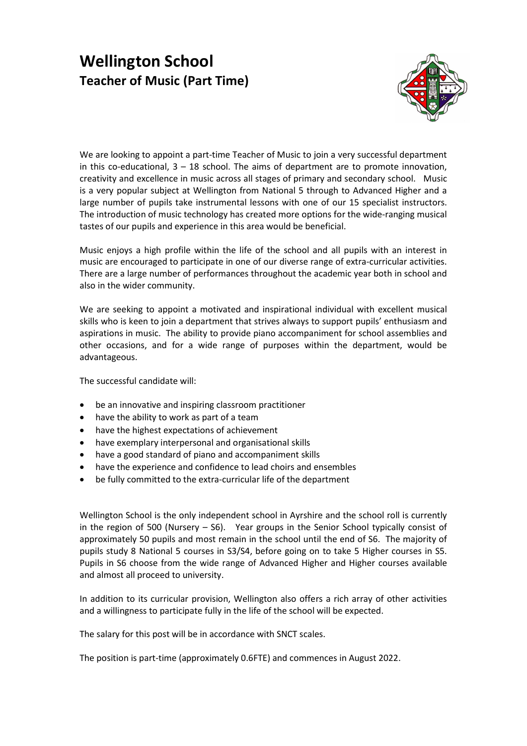## Wellington School Teacher of Music (Part Time)



We are looking to appoint a part-time Teacher of Music to join a very successful department in this co-educational,  $3 - 18$  school. The aims of department are to promote innovation, creativity and excellence in music across all stages of primary and secondary school. Music is a very popular subject at Wellington from National 5 through to Advanced Higher and a large number of pupils take instrumental lessons with one of our 15 specialist instructors. The introduction of music technology has created more options for the wide-ranging musical tastes of our pupils and experience in this area would be beneficial.

Music enjoys a high profile within the life of the school and all pupils with an interest in music are encouraged to participate in one of our diverse range of extra-curricular activities. There are a large number of performances throughout the academic year both in school and also in the wider community.

We are seeking to appoint a motivated and inspirational individual with excellent musical skills who is keen to join a department that strives always to support pupils' enthusiasm and aspirations in music. The ability to provide piano accompaniment for school assemblies and other occasions, and for a wide range of purposes within the department, would be advantageous.

The successful candidate will:

- be an innovative and inspiring classroom practitioner
- have the ability to work as part of a team
- have the highest expectations of achievement
- have exemplary interpersonal and organisational skills
- have a good standard of piano and accompaniment skills
- have the experience and confidence to lead choirs and ensembles
- be fully committed to the extra-curricular life of the department

Wellington School is the only independent school in Ayrshire and the school roll is currently in the region of 500 (Nursery – S6). Year groups in the Senior School typically consist of approximately 50 pupils and most remain in the school until the end of S6. The majority of pupils study 8 National 5 courses in S3/S4, before going on to take 5 Higher courses in S5. Pupils in S6 choose from the wide range of Advanced Higher and Higher courses available and almost all proceed to university.

In addition to its curricular provision, Wellington also offers a rich array of other activities and a willingness to participate fully in the life of the school will be expected.

The salary for this post will be in accordance with SNCT scales.

The position is part-time (approximately 0.6FTE) and commences in August 2022.